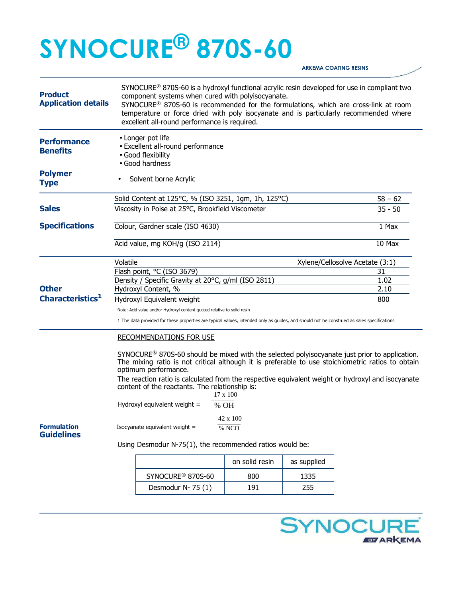## **SYNOCURE® 870S-60**

**ARKEMA COATING RESINS** 

| <b>Product</b><br><b>Application details</b> | SYNOCURE <sup>®</sup> 870S-60 is a hydroxyl functional acrylic resin developed for use in compliant two<br>component systems when cured with polyisocyanate.<br>SYNOCURE® 870S-60 is recommended for the formulations, which are cross-link at room<br>temperature or force dried with poly isocyanate and is particularly recommended where<br>excellent all-round performance is required.            |                                                      |                |             |           |  |
|----------------------------------------------|---------------------------------------------------------------------------------------------------------------------------------------------------------------------------------------------------------------------------------------------------------------------------------------------------------------------------------------------------------------------------------------------------------|------------------------------------------------------|----------------|-------------|-----------|--|
| <b>Performance</b><br><b>Benefits</b>        | • Longer pot life<br>• Excellent all-round performance<br>• Good flexibility<br>· Good hardness                                                                                                                                                                                                                                                                                                         |                                                      |                |             |           |  |
| <b>Polymer</b><br><b>Type</b>                |                                                                                                                                                                                                                                                                                                                                                                                                         | Solvent borne Acrylic                                |                |             |           |  |
|                                              |                                                                                                                                                                                                                                                                                                                                                                                                         | Solid Content at 125°C, % (ISO 3251, 1gm, 1h, 125°C) |                |             | $58 - 62$ |  |
| <b>Sales</b>                                 | Viscosity in Poise at 25°C, Brookfield Viscometer                                                                                                                                                                                                                                                                                                                                                       |                                                      |                |             | $35 - 50$ |  |
| <b>Specifications</b>                        | Colour, Gardner scale (ISO 4630)                                                                                                                                                                                                                                                                                                                                                                        |                                                      |                |             | 1 Max     |  |
|                                              | Acid value, mg KOH/g (ISO 2114)                                                                                                                                                                                                                                                                                                                                                                         |                                                      |                |             | $10$ Max  |  |
|                                              | Volatile<br>Xylene/Cellosolve Acetate (3:1)                                                                                                                                                                                                                                                                                                                                                             |                                                      |                |             |           |  |
|                                              | Flash point, °C (ISO 3679)                                                                                                                                                                                                                                                                                                                                                                              |                                                      |                |             | 31        |  |
|                                              | Density / Specific Gravity at 20°C, g/ml (ISO 2811)                                                                                                                                                                                                                                                                                                                                                     |                                                      |                |             | 1.02      |  |
| <b>Other</b>                                 | Hydroxyl Content, %                                                                                                                                                                                                                                                                                                                                                                                     |                                                      |                |             | 2.10      |  |
| Characteristics <sup>1</sup>                 | Hydroxyl Equivalent weight                                                                                                                                                                                                                                                                                                                                                                              |                                                      |                |             | 800       |  |
|                                              | Note: Acid value and/or Hydroxyl content quoted relative to solid resin                                                                                                                                                                                                                                                                                                                                 |                                                      |                |             |           |  |
|                                              | 1 The data provided for these properties are typical values, intended only as guides, and should not be construed as sales specifications                                                                                                                                                                                                                                                               |                                                      |                |             |           |  |
|                                              | <b>RECOMMENDATIONS FOR USE</b>                                                                                                                                                                                                                                                                                                                                                                          |                                                      |                |             |           |  |
|                                              | $SYNOCURE^@$ 870S-60 should be mixed with the selected polyisocyanate just prior to application.<br>The mixing ratio is not critical although it is preferable to use stoichiometric ratios to obtain<br>optimum performance.<br>The reaction ratio is calculated from the respective equivalent weight or hydroxyl and isocyanate<br>content of the reactants. The relationship is:<br>$17 \times 100$ |                                                      |                |             |           |  |
|                                              | Hydroxyl equivalent weight =<br>% OH                                                                                                                                                                                                                                                                                                                                                                    |                                                      |                |             |           |  |
| <b>Formulation</b><br><b>Guidelines</b>      | 42 x 100<br>Isocyanate equivalent weight =<br>% NCO                                                                                                                                                                                                                                                                                                                                                     |                                                      |                |             |           |  |
|                                              | Using Desmodur N-75(1), the recommended ratios would be:                                                                                                                                                                                                                                                                                                                                                |                                                      |                |             |           |  |
|                                              |                                                                                                                                                                                                                                                                                                                                                                                                         |                                                      | on solid resin | as supplied |           |  |
|                                              |                                                                                                                                                                                                                                                                                                                                                                                                         | SYNOCURE <sup>®</sup> 870S-60                        | 800            | 1335        |           |  |
|                                              |                                                                                                                                                                                                                                                                                                                                                                                                         | Desmodur N-75 (1)                                    | 191            | 255         |           |  |